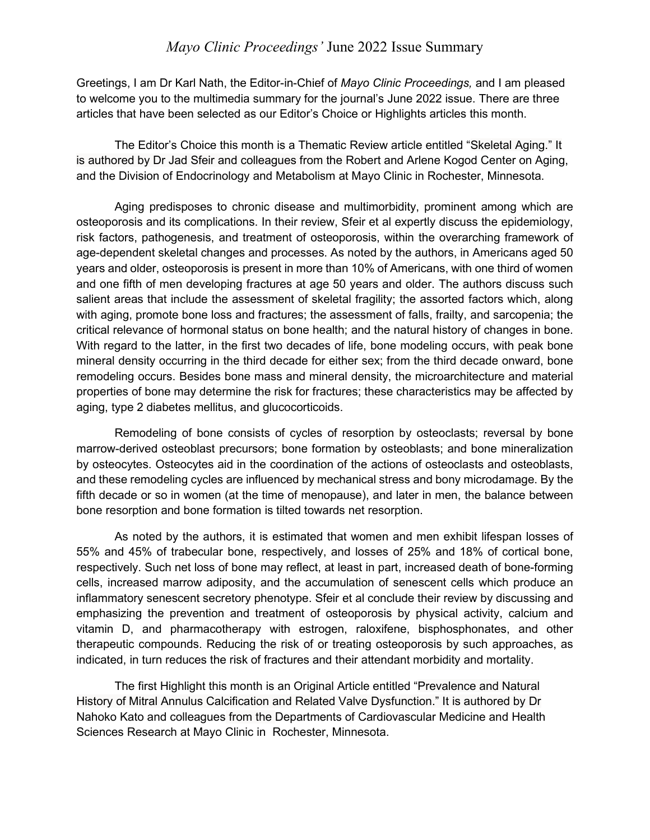## *Mayo Clinic Proceedings'* June 2022 Issue Summary

Greetings, I am Dr Karl Nath, the Editor-in-Chief of *Mayo Clinic Proceedings,* and I am pleased to welcome you to the multimedia summary for the journal's June 2022 issue. There are three articles that have been selected as our Editor's Choice or Highlights articles this month.

The Editor's Choice this month is a Thematic Review article entitled "Skeletal Aging." It is authored by Dr Jad Sfeir and colleagues from the Robert and Arlene Kogod Center on Aging, and the Division of Endocrinology and Metabolism at Mayo Clinic in Rochester, Minnesota.

Aging predisposes to chronic disease and multimorbidity, prominent among which are osteoporosis and its complications. In their review, Sfeir et al expertly discuss the epidemiology, risk factors, pathogenesis, and treatment of osteoporosis, within the overarching framework of age-dependent skeletal changes and processes. As noted by the authors, in Americans aged 50 years and older, osteoporosis is present in more than 10% of Americans, with one third of women and one fifth of men developing fractures at age 50 years and older. The authors discuss such salient areas that include the assessment of skeletal fragility; the assorted factors which, along with aging, promote bone loss and fractures; the assessment of falls, frailty, and sarcopenia; the critical relevance of hormonal status on bone health; and the natural history of changes in bone. With regard to the latter, in the first two decades of life, bone modeling occurs, with peak bone mineral density occurring in the third decade for either sex; from the third decade onward, bone remodeling occurs. Besides bone mass and mineral density, the microarchitecture and material properties of bone may determine the risk for fractures; these characteristics may be affected by aging, type 2 diabetes mellitus, and glucocorticoids.

Remodeling of bone consists of cycles of resorption by osteoclasts; reversal by bone marrow-derived osteoblast precursors; bone formation by osteoblasts; and bone mineralization by osteocytes. Osteocytes aid in the coordination of the actions of osteoclasts and osteoblasts, and these remodeling cycles are influenced by mechanical stress and bony microdamage. By the fifth decade or so in women (at the time of menopause), and later in men, the balance between bone resorption and bone formation is tilted towards net resorption.

As noted by the authors, it is estimated that women and men exhibit lifespan losses of 55% and 45% of trabecular bone, respectively, and losses of 25% and 18% of cortical bone, respectively. Such net loss of bone may reflect, at least in part, increased death of bone-forming cells, increased marrow adiposity, and the accumulation of senescent cells which produce an inflammatory senescent secretory phenotype. Sfeir et al conclude their review by discussing and emphasizing the prevention and treatment of osteoporosis by physical activity, calcium and vitamin D, and pharmacotherapy with estrogen, raloxifene, bisphosphonates, and other therapeutic compounds. Reducing the risk of or treating osteoporosis by such approaches, as indicated, in turn reduces the risk of fractures and their attendant morbidity and mortality.

The first Highlight this month is an Original Article entitled "Prevalence and Natural History of Mitral Annulus Calcification and Related Valve Dysfunction." It is authored by Dr Nahoko Kato and colleagues from the Departments of Cardiovascular Medicine and Health Sciences Research at Mayo Clinic in Rochester, Minnesota.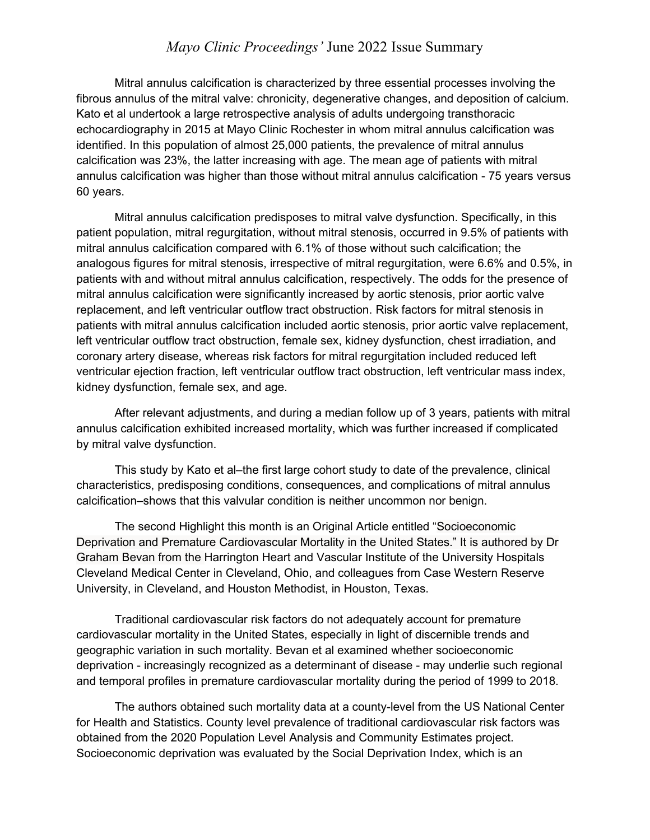## *Mayo Clinic Proceedings'* June 2022 Issue Summary

Mitral annulus calcification is characterized by three essential processes involving the fibrous annulus of the mitral valve: chronicity, degenerative changes, and deposition of calcium. Kato et al undertook a large retrospective analysis of adults undergoing transthoracic echocardiography in 2015 at Mayo Clinic Rochester in whom mitral annulus calcification was identified. In this population of almost 25,000 patients, the prevalence of mitral annulus calcification was 23%, the latter increasing with age. The mean age of patients with mitral annulus calcification was higher than those without mitral annulus calcification - 75 years versus 60 years.

Mitral annulus calcification predisposes to mitral valve dysfunction. Specifically, in this patient population, mitral regurgitation, without mitral stenosis, occurred in 9.5% of patients with mitral annulus calcification compared with 6.1% of those without such calcification; the analogous figures for mitral stenosis, irrespective of mitral regurgitation, were 6.6% and 0.5%, in patients with and without mitral annulus calcification, respectively. The odds for the presence of mitral annulus calcification were significantly increased by aortic stenosis, prior aortic valve replacement, and left ventricular outflow tract obstruction. Risk factors for mitral stenosis in patients with mitral annulus calcification included aortic stenosis, prior aortic valve replacement, left ventricular outflow tract obstruction, female sex, kidney dysfunction, chest irradiation, and coronary artery disease, whereas risk factors for mitral regurgitation included reduced left ventricular ejection fraction, left ventricular outflow tract obstruction, left ventricular mass index, kidney dysfunction, female sex, and age.

After relevant adjustments, and during a median follow up of 3 years, patients with mitral annulus calcification exhibited increased mortality, which was further increased if complicated by mitral valve dysfunction.

This study by Kato et al–the first large cohort study to date of the prevalence, clinical characteristics, predisposing conditions, consequences, and complications of mitral annulus calcification–shows that this valvular condition is neither uncommon nor benign.

The second Highlight this month is an Original Article entitled "Socioeconomic Deprivation and Premature Cardiovascular Mortality in the United States." It is authored by Dr Graham Bevan from the Harrington Heart and Vascular Institute of the University Hospitals Cleveland Medical Center in Cleveland, Ohio, and colleagues from Case Western Reserve University, in Cleveland, and Houston Methodist, in Houston, Texas.

Traditional cardiovascular risk factors do not adequately account for premature cardiovascular mortality in the United States, especially in light of discernible trends and geographic variation in such mortality. Bevan et al examined whether socioeconomic deprivation - increasingly recognized as a determinant of disease - may underlie such regional and temporal profiles in premature cardiovascular mortality during the period of 1999 to 2018.

The authors obtained such mortality data at a county-level from the US National Center for Health and Statistics. County level prevalence of traditional cardiovascular risk factors was obtained from the 2020 Population Level Analysis and Community Estimates project. Socioeconomic deprivation was evaluated by the Social Deprivation Index, which is an